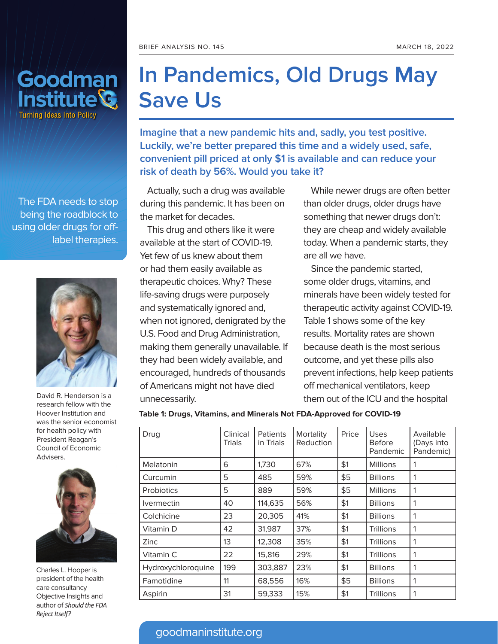BRIEF ANALYSIS NO. 145 MARCH 18, 2022



The FDA needs to stop being the roadblock to using older drugs for offlabel therapies.



David R. Henderson is a research fellow with the Hoover Institution and was the senior economist for health policy with President Reagan's Council of Economic Advisers.



Charles L. Hooper is president of the health care consultancy Objective Insights and author of *Should the FDA Reject Itself?*

## **In Pandemics, Old Drugs May Save Us**

**Imagine that a new pandemic hits and, sadly, you test positive. Luckily, we're better prepared this time and a widely used, safe, convenient pill priced at only \$1 is available and can reduce your risk of death by 56%. Would you take it?**

Actually, such a drug was available during this pandemic. It has been on the market for decades.

This drug and others like it were available at the start of COVID-19. Yet few of us knew about them or had them easily available as therapeutic choices. Why? These life-saving drugs were purposely and systematically ignored and, when not ignored, denigrated by the U.S. Food and Drug Administration, making them generally unavailable. If they had been widely available, and encouraged, hundreds of thousands of Americans might not have died unnecessarily.

While newer drugs are often better than older drugs, older drugs have something that newer drugs don't: they are cheap and widely available today. When a pandemic starts, they are all we have.

Since the pandemic started, some older drugs, vitamins, and minerals have been widely tested for therapeutic activity against COVID-19. Table 1 shows some of the key results. Mortality rates are shown because death is the most serious outcome, and yet these pills also prevent infections, help keep patients off mechanical ventilators, keep them out of the ICU and the hospital

**Table 1: Drugs, Vitamins, and Minerals Not FDA-Approved for COVID-19**

| Drug                            | Clinical<br>Trials | Patients<br>in Trials | Mortality<br>Reduction | Price | Uses<br><b>Before</b><br>Pandemic | Available<br>(Days into<br>Pandemic) |
|---------------------------------|--------------------|-----------------------|------------------------|-------|-----------------------------------|--------------------------------------|
| Melatonin                       | 6                  | 1,730                 | 67%                    | \$1   | <b>Millions</b>                   |                                      |
| Curcumin                        | 5                  | 485                   | 59%                    | \$5   | <b>Billions</b>                   |                                      |
| Probiotics                      | 5                  | 889                   | 59%                    | \$5   | <b>Millions</b>                   | 1                                    |
| <i><u><b>Ivermectin</b></u></i> | 40                 | 114,635               | 56%                    | \$1   | <b>Billions</b>                   |                                      |
| Colchicine                      | 23                 | 20,305                | 41%                    | \$1   | <b>Billions</b>                   |                                      |
| Vitamin D                       | 42                 | 31,987                | 37%                    | \$1   | <b>Trillions</b>                  |                                      |
| Zinc                            | 13                 | 12,308                | 35%                    | \$1   | <b>Trillions</b>                  | 1                                    |
| Vitamin C                       | 22                 | 15,816                | 29%                    | \$1   | <b>Trillions</b>                  |                                      |
| Hydroxychloroquine              | 199                | 303,887               | 23%                    | \$1   | <b>Billions</b>                   | 1                                    |
| Famotidine                      | 11                 | 68,556                | 16%                    | \$5   | <b>Billions</b>                   |                                      |
| Aspirin                         | 31                 | 59,333                | 15%                    | \$1   | Trillions                         |                                      |

## goodmaninstitute.org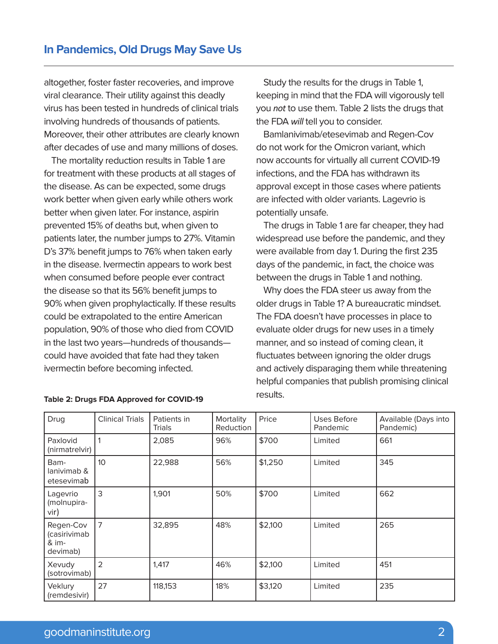altogether, foster faster recoveries, and improve viral clearance. Their utility against this deadly virus has been tested in hundreds of clinical trials involving hundreds of thousands of patients. Moreover, their other attributes are clearly known after decades of use and many millions of doses.

The mortality reduction results in Table 1 are for treatment with these products at all stages of the disease. As can be expected, some drugs work better when given early while others work better when given later. For instance, aspirin prevented 15% of deaths but, when given to patients later, the number jumps to 27%. Vitamin D's 37% benefit jumps to 76% when taken early in the disease. Ivermectin appears to work best when consumed before people ever contract the disease so that its 56% benefit jumps to 90% when given prophylactically. If these results could be extrapolated to the entire American population, 90% of those who died from COVID in the last two years—hundreds of thousands could have avoided that fate had they taken ivermectin before becoming infected.

Study the results for the drugs in Table 1, keeping in mind that the FDA will vigorously tell you *not* to use them. Table 2 lists the drugs that the FDA *will* tell you to consider.

Bamlanivimab/etesevimab and Regen-Cov do not work for the Omicron variant, which now accounts for virtually all current COVID-19 infections, and the FDA has withdrawn its approval except in those cases where patients are infected with older variants. Lagevrio is potentially unsafe.

The drugs in Table 1 are far cheaper, they had widespread use before the pandemic, and they were available from day 1. During the first 235 days of the pandemic, in fact, the choice was between the drugs in Table 1 and nothing.

Why does the FDA steer us away from the older drugs in Table 1? A bureaucratic mindset. The FDA doesn't have processes in place to evaluate older drugs for new uses in a timely manner, and so instead of coming clean, it fluctuates between ignoring the older drugs and actively disparaging them while threatening helpful companies that publish promising clinical

| Drug                                           | <b>Clinical Trials</b> | Patients in<br><b>Trials</b> | Mortality<br>Reduction | Price   | Uses Before<br>Pandemic | Available (Days into<br>Pandemic) |
|------------------------------------------------|------------------------|------------------------------|------------------------|---------|-------------------------|-----------------------------------|
| Paxlovid<br>(nirmatrelvir)                     |                        | 2,085                        | 96%                    | \$700   | Limited                 | 661                               |
| Bam-<br>lanivimab &<br>etesevimab              | 10 <sup>°</sup>        | 22,988                       | 56%                    | \$1,250 | Limited                 | 345                               |
| Lagevrio<br>(molnupira-<br>vir)                | 3                      | 1.901                        | 50%                    | \$700   | Limited                 | 662                               |
| Regen-Cov<br>(casirivimab<br>& im-<br>devimab) | 7                      | 32,895                       | 48%                    | \$2,100 | Limited                 | 265                               |
| Xevudy<br>(sotrovimab)                         | $\overline{2}$         | 1,417                        | 46%                    | \$2,100 | Limited                 | 451                               |
| Veklury<br>(remdesivir)                        | 27                     | 118,153                      | 18%                    | \$3,120 | Limited                 | 235                               |

| Table 2: Drugs FDA Approved for COVID-19 | results. |
|------------------------------------------|----------|
|------------------------------------------|----------|